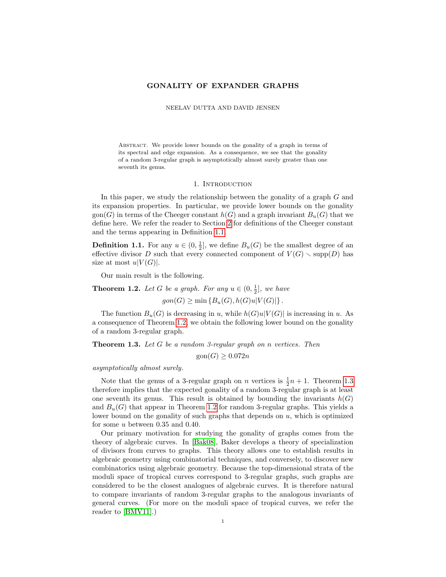### GONALITY OF EXPANDER GRAPHS

NEELAV DUTTA AND DAVID JENSEN

Abstract. We provide lower bounds on the gonality of a graph in terms of its spectral and edge expansion. As a consequence, we see that the gonality of a random 3-regular graph is asymptotically almost surely greater than one seventh its genus.

### 1. INTRODUCTION

In this paper, we study the relationship between the gonality of a graph G and its expansion properties. In particular, we provide lower bounds on the gonality gon(G) in terms of the Cheeger constant  $h(G)$  and a graph invariant  $B_u(G)$  that we define here. We refer the reader to Section [2](#page-2-0) for definitions of the Cheeger constant and the terms appearing in Definition [1.1.](#page-0-0)

<span id="page-0-0"></span>**Definition 1.1.** For any  $u \in (0, \frac{1}{2}]$ , we define  $B_u(G)$  be the smallest degree of an effective divisor D such that every connected component of  $V(G) \setminus \text{supp}(D)$  has size at most  $u|V(G)|$ .

Our main result is the following.

<span id="page-0-1"></span>**Theorem 1.2.** Let G be a graph. For any  $u \in (0, \frac{1}{2}]$ , we have

 $gon(G) \geq min \{B_u(G), h(G)u|V(G)|\}.$ 

The function  $B_u(G)$  is decreasing in u, while  $h(G)u|V(G)|$  is increasing in u. As a consequence of Theorem [1.2,](#page-0-1) we obtain the following lower bound on the gonality of a random 3-regular graph.

<span id="page-0-2"></span>Theorem 1.3. Let G be a random 3-regular graph on n vertices. Then

 $\text{gon}(G) > 0.072n$ 

asymptotically almost surely.

Note that the genus of a 3-regular graph on *n* vertices is  $\frac{1}{2}n + 1$ . Theorem [1.3](#page-0-2) therefore implies that the expected gonality of a random 3-regular graph is at least one seventh its genus. This result is obtained by bounding the invariants  $h(G)$ and  $B_u(G)$  that appear in Theorem [1.2](#page-0-1) for random 3-regular graphs. This yields a lower bound on the gonality of such graphs that depends on  $u$ , which is optimized for some  $u$  between 0.35 and 0.40.

Our primary motivation for studying the gonality of graphs comes from the theory of algebraic curves. In [\[Bak08\]](#page-11-0), Baker develops a theory of specialization of divisors from curves to graphs. This theory allows one to establish results in algebraic geometry using combinatorial techniques, and conversely, to discover new combinatorics using algebraic geometry. Because the top-dimensional strata of the moduli space of tropical curves correspond to 3-regular graphs, such graphs are considered to be the closest analogues of algebraic curves. It is therefore natural to compare invariants of random 3-regular graphs to the analogous invariants of general curves. (For more on the moduli space of tropical curves, we refer the reader to [\[BMV11\]](#page-11-1).)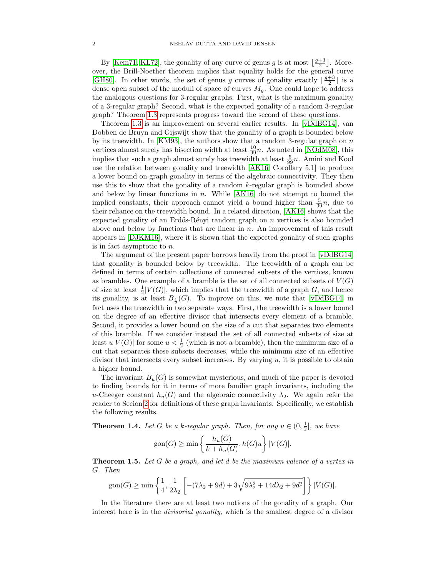By [\[Kem71,](#page-11-2) [KL72\]](#page-11-3), the gonality of any curve of genus g is at most  $\lfloor \frac{g+3}{2} \rfloor$ . Moreover, the Brill-Noether theorem implies that equality holds for the general curve [\[GH80\]](#page-11-4). In other words, the set of genus g curves of gonality exactly  $\lfloor \frac{g+3}{2} \rfloor$  is a dense open subset of the moduli of space of curves  $M_q$ . One could hope to address the analogous questions for 3-regular graphs. First, what is the maximum gonality of a 3-regular graph? Second, what is the expected gonality of a random 3-regular graph? Theorem [1.3](#page-0-2) represents progress toward the second of these questions.

Theorem [1.3](#page-0-2) is an improvement on several earlier results. In [\[vDdBG14\]](#page-11-5), van Dobben de Bruyn and Gijswijt show that the gonality of a graph is bounded below by its treewidth. In [\[KM93\]](#page-11-6), the authors show that a random 3-regular graph on  $n$ vertices almost surely has bisection width at least  $\frac{10}{99}n$ . As noted in [\[NOdM08\]](#page-11-7), this implies that such a graph almost surely has treewidth at least  $\frac{5}{99}n$ . Amini and Kool use the relation between gonality and treewidth [\[AK16,](#page-11-8) Corollary 5.1] to produce a lower bound on graph gonality in terms of the algebraic connectivity. They then use this to show that the gonality of a random  $k$ -regular graph is bounded above and below by linear functions in n. While  $[AK16]$  do not attempt to bound the implied constants, their approach cannot yield a bound higher than  $\frac{5}{99}n$ , due to their reliance on the treewidth bound. In a related direction, [\[AK16\]](#page-11-8) shows that the expected gonality of an Erdős-Rényi random graph on  $n$  vertices is also bounded above and below by functions that are linear in  $n$ . An improvement of this result appears in [\[DJKM16\]](#page-11-9), where it is shown that the expected gonality of such graphs is in fact asymptotic to n.

The argument of the present paper borrows heavily from the proof in [\[vDdBG14\]](#page-11-5) that gonality is bounded below by treewidth. The treewidth of a graph can be defined in terms of certain collections of connected subsets of the vertices, known as brambles. One example of a bramble is the set of all connected subsets of  $V(G)$ of size at least  $\frac{1}{2}|V(G)|$ , which implies that the treewidth of a graph G, and hence its gonality, is at least  $B_{\frac{1}{2}}(G)$ . To improve on this, we note that [\[vDdBG14\]](#page-11-5) in fact uses the treewidth in two separate ways. First, the treewidth is a lower bound on the degree of an effective divisor that intersects every element of a bramble. Second, it provides a lower bound on the size of a cut that separates two elements of this bramble. If we consider instead the set of all connected subsets of size at least  $u|V(G)|$  for some  $u < \frac{1}{2}$  (which is not a bramble), then the minimum size of a cut that separates these subsets decreases, while the minimum size of an effective divisor that intersects every subset increases. By varying  $u$ , it is possible to obtain a higher bound.

The invariant  $B_u(G)$  is somewhat mysterious, and much of the paper is devoted to finding bounds for it in terms of more familiar graph invariants, including the u-Cheeger constant  $h_u(G)$  and the algebraic connectivity  $\lambda_2$ . We again refer the reader to Secion [2](#page-2-0) for definitions of these graph invariants. Specifically, we establish the following results.

<span id="page-1-0"></span>**Theorem 1.4.** Let G be a k-regular graph. Then, for any  $u \in (0, \frac{1}{2}]$ , we have

$$
\text{gon}(G) \ge \min\left\{\frac{h_u(G)}{k + h_u(G)}, h(G)u\right\}|V(G)|.
$$

<span id="page-1-1"></span>**Theorem 1.5.** Let G be a graph, and let d be the maximum valence of a vertex in G. Then

$$
\text{gon}(G) \ge \min\left\{\frac{1}{4}, \frac{1}{2\lambda_2} \left[ -(7\lambda_2 + 9d) + 3\sqrt{9\lambda_2^2 + 14d\lambda_2 + 9d^2} \right] \right\} |V(G)|.
$$

In the literature there are at least two notions of the gonality of a graph. Our interest here is in the *divisorial gonality*, which is the smallest degree of a divisor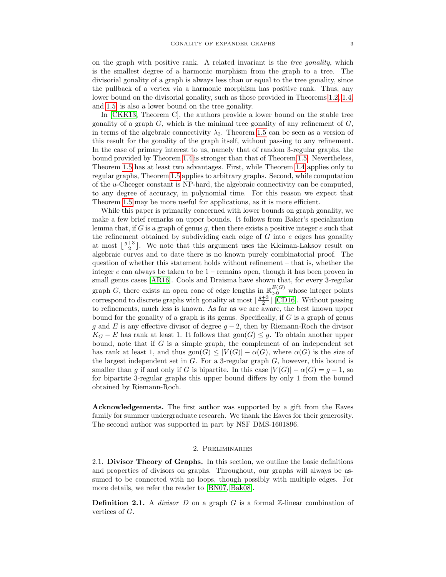on the graph with positive rank. A related invariant is the tree gonality, which is the smallest degree of a harmonic morphism from the graph to a tree. The divisorial gonality of a graph is always less than or equal to the tree gonality, since the pullback of a vertex via a harmonic morphism has positive rank. Thus, any lower bound on the divisorial gonality, such as those provided in Theorems [1.2,](#page-0-1) [1.4,](#page-1-0) and [1.5,](#page-1-1) is also a lower bound on the tree gonality.

In [\[CKK13,](#page-11-10) Theorem C], the authors provide a lower bound on the stable tree gonality of a graph  $G$ , which is the minimal tree gonality of any refinement of  $G$ , in terms of the algebraic connectivity  $\lambda_2$ . Theorem [1.5](#page-1-1) can be seen as a version of this result for the gonality of the graph itself, without passing to any refinement. In the case of primary interest to us, namely that of random 3-regular graphs, the bound provided by Theorem [1.4](#page-1-0) is stronger than that of Theorem [1.5.](#page-1-1) Nevertheless, Theorem [1.5](#page-1-1) has at least two advantages. First, while Theorem [1.4](#page-1-0) applies only to regular graphs, Theorem [1.5](#page-1-1) applies to arbitrary graphs. Second, while computation of the u-Cheeger constant is NP-hard, the algebraic connectivity can be computed, to any degree of accuracy, in polynomial time. For this reason we expect that Theorem [1.5](#page-1-1) may be more useful for applications, as it is more efficient.

While this paper is primarily concerned with lower bounds on graph gonality, we make a few brief remarks on upper bounds. It follows from Baker's specialization lemma that, if G is a graph of genus g, then there exists a positive integer  $e$  such that the refinement obtained by subdividing each edge of  $G$  into  $e$  edges has gonality at most  $\lfloor \frac{g+3}{2} \rfloor$ . We note that this argument uses the Kleiman-Laksov result on algebraic curves and to date there is no known purely combinatorial proof. The question of whether this statement holds without refinement – that is, whether the integer  $e$  can always be taken to be  $1$  – remains open, though it has been proven in small genus cases [\[AR16\]](#page-11-11). Cools and Draisma have shown that, for every 3-regular graph G, there exists an open cone of edge lengths in  $\mathbb{R}_{>0}^{E(G)}$  whose integer points correspond to discrete graphs with gonality at most  $\lfloor \frac{g+3}{2} \rfloor$  [\[CD16\]](#page-11-12). Without passing to refinements, much less is known. As far as we are aware, the best known upper bound for the gonality of a graph is its genus. Specifically, if  $G$  is a graph of genus g and E is any effective divisor of degree  $g - 2$ , then by Riemann-Roch the divisor  $K_G - E$  has rank at least 1. It follows that  $\text{gon}(G) \leq g$ . To obtain another upper bound, note that if  $G$  is a simple graph, the complement of an independent set has rank at least 1, and thus gon $(G) \leq |V(G)| - \alpha(G)$ , where  $\alpha(G)$  is the size of the largest independent set in  $G$ . For a 3-regular graph  $G$ , however, this bound is smaller than g if and only if G is bipartite. In this case  $|V(G)| - \alpha(G) = g - 1$ , so for bipartite 3-regular graphs this upper bound differs by only 1 from the bound obtained by Riemann-Roch.

Acknowledgements. The first author was supported by a gift from the Eaves family for summer undergraduate research. We thank the Eaves for their generosity. The second author was supported in part by NSF DMS-1601896.

### 2. Preliminaries

<span id="page-2-0"></span>2.1. Divisor Theory of Graphs. In this section, we outline the basic definitions and properties of divisors on graphs. Throughout, our graphs will always be assumed to be connected with no loops, though possibly with multiple edges. For more details, we refer the reader to [\[BN07,](#page-11-13) [Bak08\]](#page-11-0).

**Definition 2.1.** A *divisor* D on a graph G is a formal  $\mathbb{Z}$ -linear combination of vertices of G.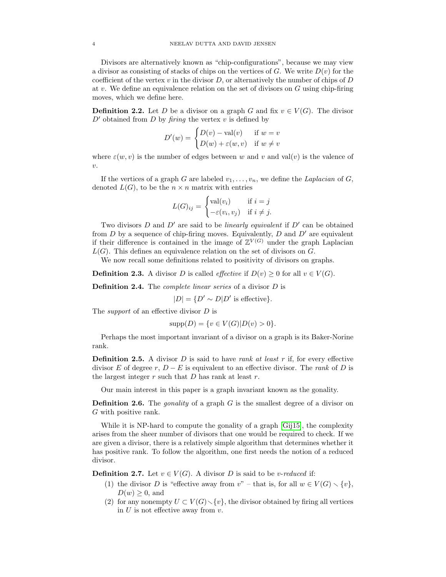Divisors are alternatively known as "chip-configurations", because we may view a divisor as consisting of stacks of chips on the vertices of  $G$ . We write  $D(v)$  for the coefficient of the vertex  $v$  in the divisor  $D$ , or alternatively the number of chips of  $D$ at v. We define an equivalence relation on the set of divisors on  $G$  using chip-firing moves, which we define here.

**Definition 2.2.** Let D be a divisor on a graph G and fix  $v \in V(G)$ . The divisor  $D'$  obtained from D by firing the vertex v is defined by

$$
D'(w) = \begin{cases} D(v) - \text{val}(v) & \text{if } w = v \\ D(w) + \varepsilon(w, v) & \text{if } w \neq v \end{cases}
$$

where  $\varepsilon(w, v)$  is the number of edges between w and v and val(v) is the valence of  $\upsilon$ .

If the vertices of a graph G are labeled  $v_1, \ldots, v_n$ , we define the Laplacian of G, denoted  $L(G)$ , to be the  $n \times n$  matrix with entries

$$
L(G)_{ij} = \begin{cases} \text{val}(v_i) & \text{if } i = j \\ -\varepsilon(v_i, v_j) & \text{if } i \neq j. \end{cases}
$$

Two divisors  $D$  and  $D'$  are said to be *linearly equivalent* if  $D'$  can be obtained from D by a sequence of chip-firing moves. Equivalently, D and  $D'$  are equivalent if their difference is contained in the image of  $\mathbb{Z}^{V(G)}$  under the graph Laplacian  $L(G)$ . This defines an equivalence relation on the set of divisors on G.

We now recall some definitions related to positivity of divisors on graphs.

**Definition 2.3.** A divisor D is called *effective* if  $D(v) > 0$  for all  $v \in V(G)$ .

Definition 2.4. The *complete linear series* of a divisor D is

 $|D| = \{D' \sim D | D'$  is effective}.

The *support* of an effective divisor D is

$$
supp(D) = \{ v \in V(G) | D(v) > 0 \}.
$$

Perhaps the most important invariant of a divisor on a graph is its Baker-Norine rank.

**Definition 2.5.** A divisor  $D$  is said to have rank at least  $r$  if, for every effective divisor E of degree r,  $D - E$  is equivalent to an effective divisor. The rank of D is the largest integer  $r$  such that  $D$  has rank at least  $r$ .

Our main interest in this paper is a graph invariant known as the gonality.

**Definition 2.6.** The *gonality* of a graph  $G$  is the smallest degree of a divisor on G with positive rank.

While it is NP-hard to compute the gonality of a graph [\[Gij15\]](#page-11-14), the complexity arises from the sheer number of divisors that one would be required to check. If we are given a divisor, there is a relatively simple algorithm that determines whether it has positive rank. To follow the algorithm, one first needs the notion of a reduced divisor.

**Definition 2.7.** Let  $v \in V(G)$ . A divisor D is said to be *v-reduced* if:

- (1) the divisor D is "effective away from  $v$ " that is, for all  $w \in V(G) \setminus \{v\},\$  $D(w) \geq 0$ , and
- (2) for any nonempty  $U \subset V(G) \setminus \{v\}$ , the divisor obtained by firing all vertices in  $U$  is not effective away from  $v$ .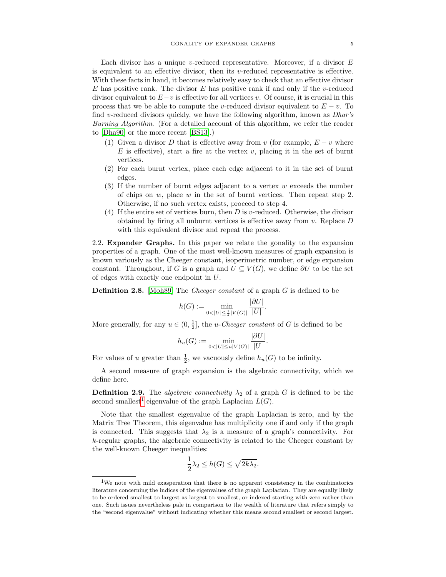Each divisor has a unique v-reduced representative. Moreover, if a divisor  $E$ is equivalent to an effective divisor, then its  $v$ -reduced representative is effective. With these facts in hand, it becomes relatively easy to check that an effective divisor E has positive rank. The divisor  $E$  has positive rank if and only if the v-reduced divisor equivalent to  $E-v$  is effective for all vertices v. Of course, it is crucial in this process that we be able to compute the v-reduced divisor equivalent to  $E - v$ . To find v-reduced divisors quickly, we have the following algorithm, known as  $Dhar's$ Burning Algorithm. (For a detailed account of this algorithm, we refer the reader to [\[Dha90\]](#page-11-15) or the more recent [\[BS13\]](#page-11-16).)

- (1) Given a divisor D that is effective away from v (for example,  $E v$  where  $E$  is effective), start a fire at the vertex  $v$ , placing it in the set of burnt vertices.
- (2) For each burnt vertex, place each edge adjacent to it in the set of burnt edges.
- (3) If the number of burnt edges adjacent to a vertex  $w$  exceeds the number of chips on  $w$ , place  $w$  in the set of burnt vertices. Then repeat step 2. Otherwise, if no such vertex exists, proceed to step 4.
- (4) If the entire set of vertices burn, then  $D$  is v-reduced. Otherwise, the divisor obtained by firing all unburnt vertices is effective away from  $v$ . Replace  $D$ with this equivalent divisor and repeat the process.

2.2. Expander Graphs. In this paper we relate the gonality to the expansion properties of a graph. One of the most well-known measures of graph expansion is known variously as the Cheeger constant, isoperimetric number, or edge expansion constant. Throughout, if G is a graph and  $U \subseteq V(G)$ , we define  $\partial U$  to be the set of edges with exactly one endpoint in U.

**Definition 2.8.** [\[Moh89\]](#page-11-17) The *Cheeger constant* of a graph  $G$  is defined to be

$$
h(G) := \min_{0 < |U| \le \frac{1}{2} |V(G)|} \frac{|\partial U|}{|U|}.
$$

More generally, for any  $u \in (0, \frac{1}{2}]$ , the *u-Cheeger constant* of G is defined to be

$$
h_u(G) := \min_{0 < |U| \le u|V(G)|} \frac{|\partial U|}{|U|}.
$$

For values of u greater than  $\frac{1}{2}$ , we vacuously define  $h_u(G)$  to be infinity.

A second measure of graph expansion is the algebraic connectivity, which we define here.

**Definition 2.9.** The *algebraic connectivity*  $\lambda_2$  of a graph G is defined to be the second smallest<sup>[1](#page-4-0)</sup> eigenvalue of the graph Laplacian  $L(G)$ .

Note that the smallest eigenvalue of the graph Laplacian is zero, and by the Matrix Tree Theorem, this eigenvalue has multiplicity one if and only if the graph is connected. This suggests that  $\lambda_2$  is a measure of a graph's connectivity. For k-regular graphs, the algebraic connectivity is related to the Cheeger constant by the well-known Cheeger inequalities:

$$
\frac{1}{2}\lambda_2 \le h(G) \le \sqrt{2k\lambda_2}.
$$

<span id="page-4-0"></span><sup>&</sup>lt;sup>1</sup>We note with mild exasperation that there is no apparent consistency in the combinatorics literature concerning the indices of the eigenvalues of the graph Laplacian. They are equally likely to be ordered smallest to largest as largest to smallest, or indexed starting with zero rather than one. Such issues nevertheless pale in comparison to the wealth of literature that refers simply to the "second eigenvalue" without indicating whether this means second smallest or second largest.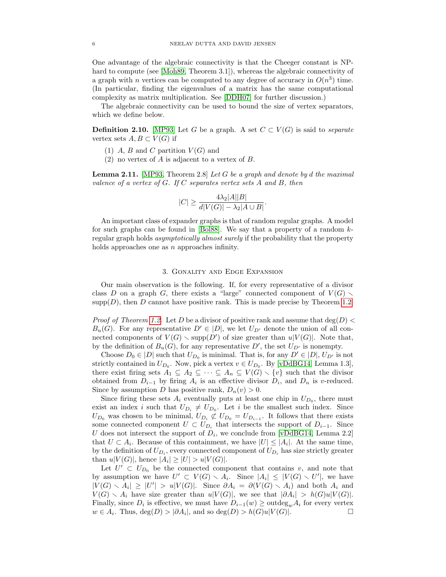One advantage of the algebraic connectivity is that the Cheeger constant is NP-hard to compute (see [\[Moh89,](#page-11-17) Theorem 3.1]), whereas the algebraic connectivity of a graph with *n* vertices can be computed to any degree of accuracy in  $O(n^3)$  time. (In particular, finding the eigenvalues of a matrix has the same computational complexity as matrix multiplication. See [\[DDH07\]](#page-11-18) for further discussion.)

The algebraic connectivity can be used to bound the size of vertex separators, which we define below.

**Definition 2.10.** [\[MP93\]](#page-11-19) Let G be a graph. A set  $C \subset V(G)$  is said to *separate* vertex sets  $A, B \subset V(G)$  if

- (1) A, B and C partition  $V(G)$  and
- (2) no vertex of A is adjacent to a vertex of B.

<span id="page-5-0"></span>**Lemma 2.11.** [\[MP93,](#page-11-19) Theorem 2.8] Let G be a graph and denote by d the maximal valence of a vertex of  $G$ . If  $C$  separates vertex sets  $A$  and  $B$ , then

$$
|C| \ge \frac{4\lambda_2|A||B|}{d|V(G)| - \lambda_2|A \cup B|}
$$

.

An important class of expander graphs is that of random regular graphs. A model for such graphs can be found in  $[Bol88]$ . We say that a property of a random  $k$ regular graph holds asymptotically almost surely if the probability that the property holds approaches one as n approaches infinity.

#### 3. Gonality and Edge Expansion

Our main observation is the following. If, for every representative of a divisor class D on a graph G, there exists a "large" connected component of  $V(G)$  $\text{supp}(D)$ , then D cannot have positive rank. This is made precise by Theorem [1.2.](#page-0-1)

*Proof of Theorem [1.2.](#page-0-1)* Let D be a divisor of positive rank and assume that deg(D)  $\lt$  $B_u(G)$ . For any representative  $D' \in |D|$ , we let  $U_{D'}$  denote the union of all connected components of  $V(G) \setminus \text{supp}(D')$  of size greater than  $u|V(G)|$ . Note that, by the definition of  $B_u(G)$ , for any representative D', the set  $U_{D'}$  is nonempty.

Choose  $D_0 \in |D|$  such that  $U_{D_0}$  is minimal. That is, for any  $D' \in |D|$ ,  $U_{D'}$  is not strictly contained in  $U_{D_0}$ . Now, pick a vertex  $v \in U_{D_0}$ . By [\[vDdBG14,](#page-11-5) Lemma 1.3], there exist firing sets  $A_1 \subseteq A_2 \subseteq \cdots \subseteq A_n \subseteq V(G) \setminus \{v\}$  such that the divisor obtained from  $D_{i-1}$  by firing  $A_i$  is an effective divisor  $D_i$ , and  $D_n$  is v-reduced. Since by assumption D has positive rank,  $D_n(v) > 0$ .

Since firing these sets  $A_i$  eventually puts at least one chip in  $U_{D_0}$ , there must exist an index i such that  $U_{D_i} \neq U_{D_0}$ . Let i be the smallest such index. Since  $U_{D_0}$  was chosen to be minimal,  $U_{D_i} \not\subset U_{D_0} = U_{D_{i-1}}$ . It follows that there exists some connected component  $U \subset U_{D_i}$  that intersects the support of  $D_{i-1}$ . Since U does not intersect the support of  $D_i$ , we conclude from [\[vDdBG14,](#page-11-5) Lemma 2.2] that  $U \subset A_i$ . Because of this containment, we have  $|U| \leq |A_i|$ . At the same time, by the definition of  $U_{D_i}$ , every connected component of  $U_{D_i}$  has size strictly greater than  $u|V(G)|$ , hence  $|A_i| \geq |U| > u|V(G)|$ .

Let  $U' \subset U_{D_0}$  be the connected component that contains v, and note that by assumption we have  $U' \subset V(G) \setminus A_i$ . Since  $|A_i| \leq |V(G) \setminus U'|$ , we have  $|V(G) \setminus A_i| \geq |U'| > u|V(G)|$ . Since  $\partial A_i = \partial (V(G) \setminus A_i)$  and both  $A_i$  and  $V(G) \setminus A_i$  have size greater than  $u|V(G)|$ , we see that  $|\partial A_i| > h(G)u|V(G)|$ . Finally, since  $D_i$  is effective, we must have  $D_{i-1}(w) \geq \text{outdeg}_w A_i$  for every vertex  $w \in A_i$ . Thus,  $deg(D) > |\partial A_i|$ , and so  $deg(D) > h(G)u|V(G)|$ .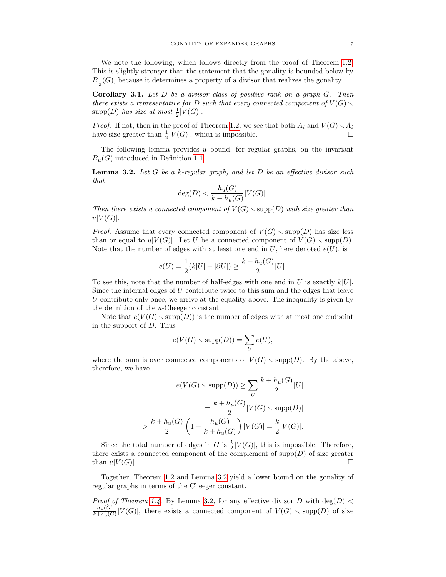We note the following, which follows directly from the proof of Theorem [1.2.](#page-0-1) This is slightly stronger than the statement that the gonality is bounded below by  $B_{\frac{1}{2}}(G)$ , because it determines a property of a divisor that realizes the gonality.

<span id="page-6-1"></span>Corollary 3.1. Let D be a divisor class of positive rank on a graph G. Then there exists a representative for D such that every connected component of  $V(G)$ .  $\text{supp}(D)$  has size at most  $\frac{1}{2}|V(G)|$ .

*Proof.* If not, then in the proof of Theorem [1.2,](#page-0-1) we see that both  $A_i$  and  $V(G) \setminus A_i$ have size greater than  $\frac{1}{2}|V(G)|$ , which is impossible.

The following lemma provides a bound, for regular graphs, on the invariant  $B_u(G)$  introduced in Definition [1.1.](#page-0-0)

<span id="page-6-0"></span>**Lemma 3.2.** Let G be a k-regular graph, and let  $D$  be an effective divisor such that

$$
\deg(D) < \frac{h_u(G)}{k + h_u(G)} |V(G)|.
$$

Then there exists a connected component of  $V(G) \setminus \text{supp}(D)$  with size greater than  $u|V(G)|.$ 

*Proof.* Assume that every connected component of  $V(G) \setminus \text{supp}(D)$  has size less than or equal to  $u|V(G)|$ . Let U be a connected component of  $V(G) \setminus \text{supp}(D)$ . Note that the number of edges with at least one end in  $U$ , here denoted  $e(U)$ , is

$$
e(U)=\frac{1}{2}(k|U|+|\partial U|)\geq \frac{k+h_u(G)}{2}|U|.
$$

To see this, note that the number of half-edges with one end in U is exactly  $k|U|$ . Since the internal edges of U contribute twice to this sum and the edges that leave  $U$  contribute only once, we arrive at the equality above. The inequality is given by the definition of the u-Cheeger constant.

Note that  $e(V(G) \setminus supp(D))$  is the number of edges with at most one endpoint in the support of D. Thus

$$
e(V(G) \setminus \mathrm{supp}(D)) = \sum_{U} e(U),
$$

where the sum is over connected components of  $V(G) \setminus \text{supp}(D)$ . By the above, therefore, we have

$$
e(V(G) \setminus \text{supp}(D)) \ge \sum_{U} \frac{k + h_u(G)}{2} |U|
$$

$$
= \frac{k + h_u(G)}{2} |V(G) \setminus \text{supp}(D)|
$$

$$
> \frac{k + h_u(G)}{2} \left(1 - \frac{h_u(G)}{k + h_u(G)}\right) |V(G)| = \frac{k}{2} |V(G)|.
$$

Since the total number of edges in G is  $\frac{k}{2}|V(G)|$ , this is impossible. Therefore, there exists a connected component of the complement of  $\text{supp}(D)$  of size greater than  $u|V(G)|$ .

Together, Theorem [1.2](#page-0-1) and Lemma [3.2](#page-6-0) yield a lower bound on the gonality of regular graphs in terms of the Cheeger constant.

*Proof of Theorem [1.4.](#page-1-0)* By Lemma [3.2,](#page-6-0) for any effective divisor D with  $deg(D)$  <  $h_u(G)$  $\frac{h_u(G)}{k+h_u(G)}|V(G)|$ , there exists a connected component of  $V(G) \setminus {\rm supp}(D)$  of size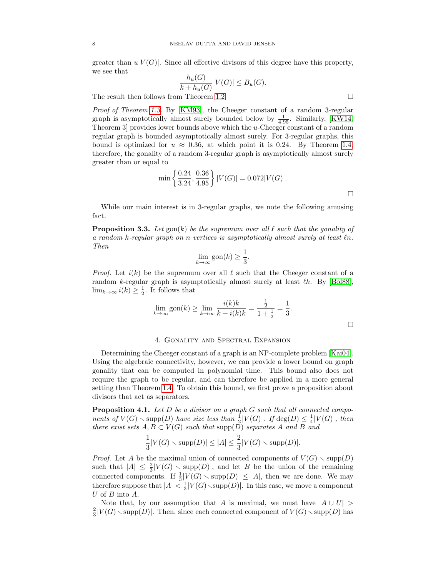greater than  $u|V(G)|$ . Since all effective divisors of this degree have this property, we see that

$$
\frac{h_u(G)}{k+h_u(G)}|V(G)| \le B_u(G).
$$

The result then follows from Theorem [1.2.](#page-0-1)

Proof of Theorem [1.3.](#page-0-2) By [\[KM93\]](#page-11-6), the Cheeger constant of a random 3-regular graph is asymptotically almost surely bounded below by  $\frac{1}{4.95}$ . Similarly, [\[KW14,](#page-11-21) Theorem 3] provides lower bounds above which the u-Cheeger constant of a random regular graph is bounded asymptotically almost surely. For 3-regular graphs, this bound is optimized for  $u \approx 0.36$ , at which point it is 0.24. By Theorem [1.4,](#page-1-0) therefore, the gonality of a random 3-regular graph is asymptotically almost surely greater than or equal to

$$
\min\left\{\frac{0.24}{3.24}, \frac{0.36}{4.95}\right\}|V(G)| = 0.072|V(G)|.
$$

While our main interest is in 3-regular graphs, we note the following amusing fact.

**Proposition 3.3.** Let  $\text{gon}(k)$  be the supremum over all  $\ell$  such that the gonality of a random k-regular graph on n vertices is asymptotically almost surely at least  $\ell n$ . Then

$$
\lim_{k \to \infty} \text{gon}(k) \ge \frac{1}{3}.
$$

*Proof.* Let  $i(k)$  be the supremum over all  $\ell$  such that the Cheeger constant of a random k-regular graph is asymptotically almost surely at least  $\ell k$ . By [\[Bol88\]](#page-11-20),  $\lim_{k\to\infty} i(k) \geq \frac{1}{2}$ . It follows that

$$
\lim_{k \to \infty} \text{gon}(k) \ge \lim_{k \to \infty} \frac{i(k)k}{k + i(k)k} = \frac{\frac{1}{2}}{1 + \frac{1}{2}} = \frac{1}{3}.
$$

### 4. Gonality and Spectral Expansion

Determining the Cheeger constant of a graph is an NP-complete problem [\[Kai04\]](#page-11-22). Using the algebraic connectivity, however, we can provide a lower bound on graph gonality that can be computed in polynomial time. This bound also does not require the graph to be regular, and can therefore be applied in a more general setting than Theorem [1.4.](#page-1-0) To obtain this bound, we first prove a proposition about divisors that act as separators.

<span id="page-7-0"></span>**Proposition 4.1.** Let  $D$  be a divisor on a graph  $G$  such that all connected components of  $V(G) \setminus \text{supp}(D)$  have size less than  $\frac{1}{2}|V(G)|$ . If  $\text{deg}(D) \leq \frac{1}{4}|V(G)|$ , then there exist sets  $A, B \subset V(G)$  such that supp $(D)$  separates A and B and

$$
\frac{1}{3}|V(G)\smallsetminus\mathrm{supp}(D)|\leq |A|\leq \frac{2}{3}|V(G)\smallsetminus\mathrm{supp}(D)|.
$$

*Proof.* Let A be the maximal union of connected components of  $V(G) \setminus \text{supp}(D)$ such that  $|A| \leq \frac{2}{3}|V(G) \setminus \text{supp}(D)|$ , and let B be the union of the remaining connected components. If  $\frac{1}{3}|V(G) \setminus \text{supp}(D)| \leq |A|$ , then we are done. We may therefore suppose that  $|A| < \frac{1}{3}|V(G)\setminus \mathrm{supp}(D)|$ . In this case, we move a component U of B into A.

Note that, by our assumption that A is maximal, we must have  $|A \cup U| >$  $\frac{2}{3}|V(G)\setminus \mathrm{supp}(D)|$ . Then, since each connected component of  $V(G)\setminus \mathrm{supp}(D)$  has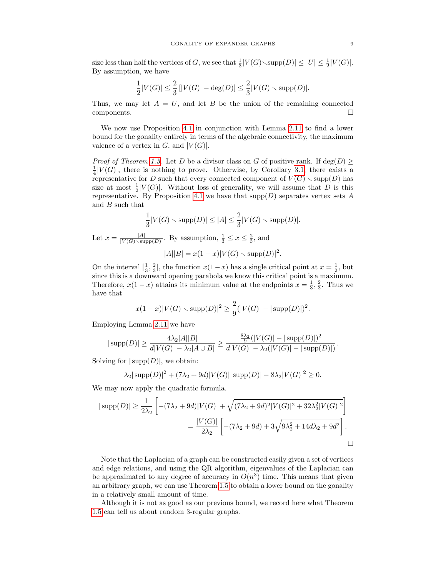size less than half the vertices of G, we see that  $\frac{1}{3}|V(G)\diagdown \text{supp}(D)| \leq |U| \leq \frac{1}{2}|V(G)|$ . By assumption, we have

$$
\frac{1}{2}|V(G)| \leq \frac{2}{3}\left[|V(G)| - \deg(D)\right] \leq \frac{2}{3}|V(G) \smallsetminus \mathrm{supp}(D)|.
$$

Thus, we may let  $A = U$ , and let B be the union of the remaining connected components.

We now use Proposition [4.1](#page-7-0) in conjunction with Lemma [2.11](#page-5-0) to find a lower bound for the gonality entirely in terms of the algebraic connectivity, the maximum valence of a vertex in  $G$ , and  $|V(G)|$ .

*Proof of Theorem [1.5.](#page-1-1)* Let D be a divisor class on G of positive rank. If  $deg(D)$  $\frac{1}{4}|V(G)|$ , there is nothing to prove. Otherwise, by Corollary [3.1,](#page-6-1) there exists a representative for D such that every connected component of  $V(G) \setminus \text{supp}(D)$  has size at most  $\frac{1}{2}|V(G)|$ . Without loss of generality, we will assume that D is this representative. By Proposition [4.1](#page-7-0) we have that  $\text{supp}(D)$  separates vertex sets A and B such that

$$
\frac{1}{3}|V(G) \setminus \text{supp}(D)| \le |A| \le \frac{2}{3}|V(G) \setminus \text{supp}(D)|.
$$
  
 $|A|$  By assumption,  $1 \le x \le \frac{2}{3}$  and

Let  $x = \frac{|A|}{|V(G) \setminus \text{supp}(D)|}$ . By assumption,  $\frac{1}{3} \leq x \leq \frac{2}{3}$ , and  $|A||B| = x(1-x)|V(G) \setminus \text{supp}(D)|^2.$ 

On the interval  $[\frac{1}{3}, \frac{2}{3}]$ , the function  $x(1-x)$  has a single critical point at  $x = \frac{1}{2}$ , but since this is a downward opening parabola we know this critical point is a maximum. Therefore,  $x(1-x)$  attains its minimum value at the endpoints  $x=\frac{1}{3},\frac{2}{3}$ . Thus we have that

$$
x(1-x)|V(G) \setminus \text{supp}(D)|^2 \ge \frac{2}{9}(|V(G)| - |\text{supp}(D)|)^2.
$$

Employing Lemma [2.11](#page-5-0) we have

$$
|\operatorname{supp}(D)| \ge \frac{4\lambda_2|A||B|}{d|V(G)| - \lambda_2|A\cup B|} \ge \frac{\frac{8\lambda_2}{9}(|V(G)| - |\operatorname{supp}(D)|)^2}{d|V(G)| - \lambda_2(|V(G)| - |\operatorname{supp}(D)|)}.
$$

Solving for  $|\text{supp}(D)|$ , we obtain:

$$
\lambda_2|\operatorname{supp}(D)|^2 + (7\lambda_2 + 9d)|V(G)||\operatorname{supp}(D)| - 8\lambda_2|V(G)|^2 \ge 0.
$$

We may now apply the quadratic formula.

$$
|\operatorname{supp}(D)| \ge \frac{1}{2\lambda_2} \left[ -(7\lambda_2 + 9d)|V(G)| + \sqrt{(7\lambda_2 + 9d)^2 |V(G)|^2 + 32\lambda_2^2 |V(G)|^2} \right]
$$
  
= 
$$
\frac{|V(G)|}{2\lambda_2} \left[ -(7\lambda_2 + 9d) + 3\sqrt{9\lambda_2^2 + 14d\lambda_2 + 9d^2} \right].
$$

Note that the Laplacian of a graph can be constructed easily given a set of vertices and edge relations, and using the QR algorithm, eigenvalues of the Laplacian can be approximated to any degree of accuracy in  $O(n^3)$  time. This means that given an arbitrary graph, we can use Theorem [1.5](#page-1-1) to obtain a lower bound on the gonality in a relatively small amount of time.

Although it is not as good as our previous bound, we record here what Theorem [1.5](#page-1-1) can tell us about random 3-regular graphs.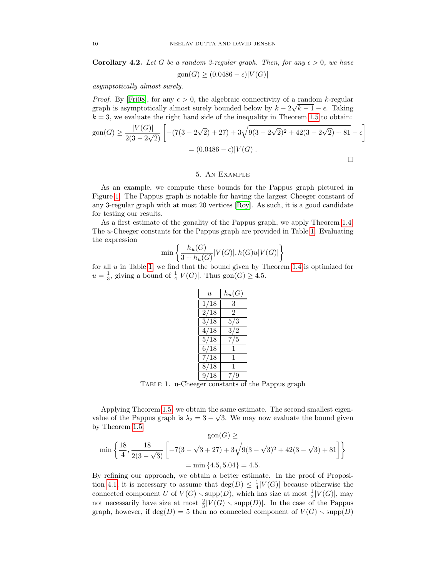**Corollary 4.2.** Let G be a random 3-regular graph. Then, for any  $\epsilon > 0$ , we have  $\operatorname{gon}(G) \ge (0.0486 - \epsilon) |V(G)|$ 

asymptotically almost surely.

*Proof.* By [\[Fri08\]](#page-11-23), for any  $\epsilon > 0$ , the algebraic connectivity of a random k-regular graph is asymptotically almost surely bounded below by  $k - 2\sqrt{k-1} - \epsilon$ . Taking  $k = 3$ , we evaluate the right hand side of the inequality in Theorem [1.5](#page-1-1) to obtain:

$$
\text{gon}(G) \ge \frac{|V(G)|}{2(3 - 2\sqrt{2})} \left[ -(7(3 - 2\sqrt{2}) + 27) + 3\sqrt{9(3 - 2\sqrt{2})^2 + 42(3 - 2\sqrt{2}) + 81} - \epsilon \right]
$$

$$
= (0.0486 - \epsilon)|V(G)|.
$$

# 5. An Example

As an example, we compute these bounds for the Pappus graph pictured in Figure [1.](#page-10-0) The Pappus graph is notable for having the largest Cheeger constant of any 3-regular graph with at most 20 vertices [\[Roy\]](#page-11-24). As such, it is a good candidate for testing our results.

As a first estimate of the gonality of the Pappus graph, we apply Theorem [1.4.](#page-1-0) The u-Cheeger constants for the Pappus graph are provided in Table [1.](#page-9-0) Evaluating the expression

$$
\min\left\{\frac{h_u(G)}{3+h_u(G)}|V(G)|, h(G)u|V(G)|\right\}
$$

for all  $u$  in Table [1,](#page-9-0) we find that the bound given by Theorem [1.4](#page-1-0) is optimized for  $u = \frac{1}{3}$ , giving a bound of  $\frac{1}{4}|V(G)|$ . Thus gon $(G) \geq 4.5$ .

| $\mathcal{U}$     | $h_u(G)$ |
|-------------------|----------|
| 18<br>1/          | 3        |
| 2/18              | 2        |
| $\overline{3}/18$ | 5/3      |
| 4/18              | 3/2      |
| 5/18              | 7/5      |
| 6/18              |          |
| 7/18              | 1        |
| 8/18              | 1        |
| 9/18              | 71<br>9  |

<span id="page-9-0"></span>Table 1. u-Cheeger constants of the Pappus graph

Applying Theorem [1.5,](#page-1-1) we obtain the same estimate. The second smallest eigenvalue of the Pappus graph is  $\lambda_2 = 3 - \sqrt{3}$ . We may now evaluate the bound given by Theorem [1.5.](#page-1-1)  $\omega$  >

$$
\min\left\{\frac{18}{4}, \frac{18}{2(3-\sqrt{3})}\left[-7(3-\sqrt{3}+27)+3\sqrt{9(3-\sqrt{3})^2+42(3-\sqrt{3})+81}\right]\right\}
$$
  
= min{4.5, 5.04} = 4.5.

By refining our approach, we obtain a better estimate. In the proof of Proposi-tion [4.1,](#page-7-0) it is necessary to assume that  $\deg(D) \leq \frac{1}{4}|V(G)|$  because otherwise the connected component U of  $V(G) \setminus \text{supp}(D)$ , which has size at most  $\frac{1}{2}|V(G)|$ , may not necessarily have size at most  $\frac{2}{3}|V(G) \setminus \text{supp}(D)|$ . In the case of the Pappus graph, however, if  $deg(D) = 5$  then no connected component of  $V(G) \setminus supp(D)$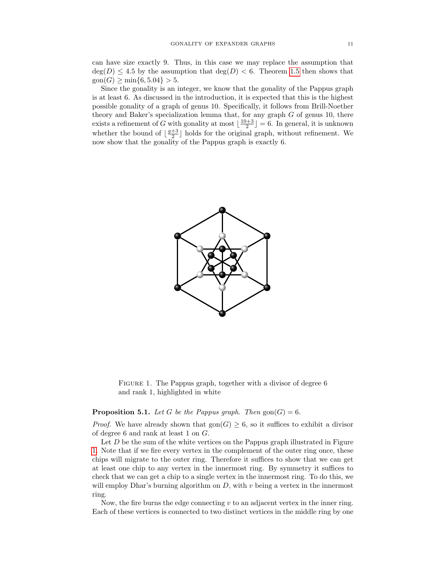can have size exactly 9. Thus, in this case we may replace the assumption that  $deg(D) \leq 4.5$  by the assumption that  $deg(D) < 6$ . Theorem [1.5](#page-1-1) then shows that  $\text{gon}(G) \ge \min\{6, 5.04\} > 5.$ 

Since the gonality is an integer, we know that the gonality of the Pappus graph is at least 6. As discussed in the introduction, it is expected that this is the highest possible gonality of a graph of genus 10. Specifically, it follows from Brill-Noether theory and Baker's specialization lemma that, for any graph  $G$  of genus 10, there exists a refinement of G with gonality at most  $\lfloor \frac{10+3}{2} \rfloor = 6$ . In general, it is unknown whether the bound of  $\lfloor \frac{g+3}{2} \rfloor$  holds for the original graph, without refinement. We now show that the gonality of the Pappus graph is exactly 6.



<span id="page-10-0"></span>FIGURE 1. The Pappus graph, together with a divisor of degree 6 and rank 1, highlighted in white

## **Proposition 5.1.** Let G be the Pappus graph. Then  $\text{gon}(G) = 6$ .

*Proof.* We have already shown that  $\text{gon}(G) \geq 6$ , so it suffices to exhibit a divisor of degree 6 and rank at least 1 on G.

Let  $D$  be the sum of the white vertices on the Pappus graph illustrated in Figure [1.](#page-10-0) Note that if we fire every vertex in the complement of the outer ring once, these chips will migrate to the outer ring. Therefore it suffices to show that we can get at least one chip to any vertex in the innermost ring. By symmetry it suffices to check that we can get a chip to a single vertex in the innermost ring. To do this, we will employ Dhar's burning algorithm on  $D$ , with  $v$  being a vertex in the innermost ring.

Now, the fire burns the edge connecting  $v$  to an adjacent vertex in the inner ring. Each of these vertices is connected to two distinct vertices in the middle ring by one